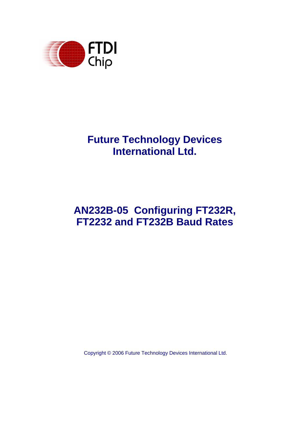

# **Future Technology Devices International Ltd.**

# **AN232B-05 Configuring FT232R, FT2232 and FT232B Baud Rates**

Copyright © 2006 Future Technology Devices International Ltd.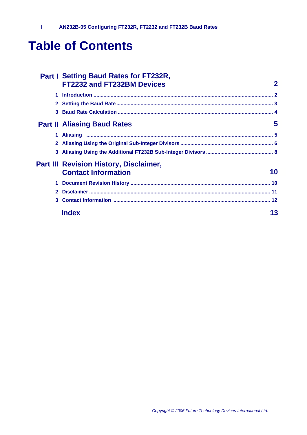# **Table of Contents**

 $\mathbf{I}$ 

|              | <b>Part I Setting Baud Rates for FT232R,</b><br>FT2232 and FT232BM Devices | $\mathbf 2$ |
|--------------|----------------------------------------------------------------------------|-------------|
| 1            |                                                                            |             |
| $\mathbf{2}$ |                                                                            |             |
|              |                                                                            |             |
|              | <b>Part II Aliasing Baud Rates</b>                                         | 5           |
|              |                                                                            |             |
|              |                                                                            |             |
|              |                                                                            |             |
|              | <b>Part III Revision History, Disclaimer,</b>                              |             |
|              | <b>Contact Information</b>                                                 | 10          |
| 1            |                                                                            |             |
| $\mathbf{2}$ |                                                                            |             |
| 3            |                                                                            |             |
|              | <b>Index</b>                                                               | 13          |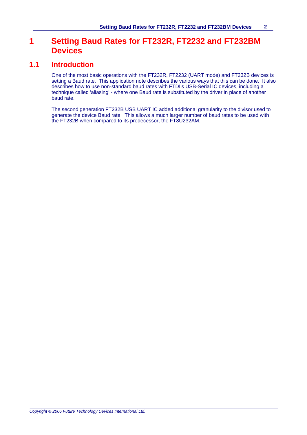#### **1 Setting Baud Rates for FT232R, FT2232 and FT232BM Devices**

#### **1.1 Introduction**

One of the most basic operations with the FT232R, FT2232 (UART mode) and FT232B devices is setting a Baud rate. This application note describes the various ways that this can be done. It also describes how to use non-standard baud rates with FTDI's USB-Serial IC devices, including a technique called 'aliasing' - where one Baud rate is substituted by the driver in place of another baud rate.

The second generation FT232B USB UART IC added additional granularity to the divisor used to generate the device Baud rate. This allows a much larger number of baud rates to be used with the FT232B when compared to its predecessor, the FT8U232AM.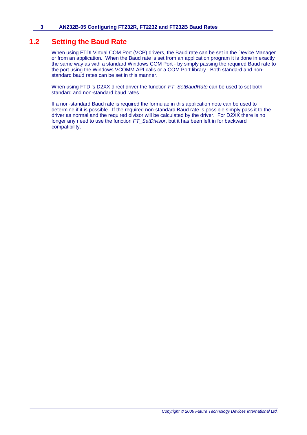#### **1.2 Setting the Baud Rate**

When using FTDI Virtual COM Port (VCP) drivers, the Baud rate can be set in the Device Manager or from an application. When the Baud rate is set from an application program it is done in exactly the same way as with a standard Windows COM Port - by simply passing the required Baud rate to the port using the Windows VCOMM API calls or a COM Port library. Both standard and nonstandard baud rates can be set in this manner.

When using FTDI's D2XX direct driver the function *FT\_SetBaudRate* can be used to set both standard and non-standard baud rates.

If a non-standard Baud rate is required the formulae in this application note can be used to determine if it is possible. If the required non-standard Baud rate is possible simply pass it to the driver as normal and the required divisor will be calculated by the driver. For D2XX there is no longer any need to use the function *FT\_SetDivisor*, but it has been left in for backward compatibility.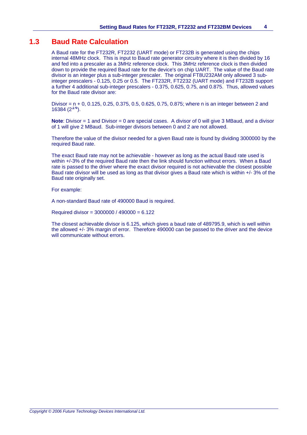#### **1.3 Baud Rate Calculation**

A Baud rate for the FT232R, FT2232 (UART mode) or FT232B is generated using the chips internal 48MHz clock. This is input to Baud rate generator circuitry where it is then divided by 16 and fed into a prescaler as a 3MHz reference clock. This 3MHz reference clock is then divided down to provide the required Baud rate for the device's on chip UART. The value of the Baud rate divisor is an integer plus a sub-integer prescaler. The original FT8U232AM only allowed 3 subinteger prescalers - 0.125, 0.25 or 0.5. The FT232R, FT2232 (UART mode) and FT232B support a further 4 additional sub-integer prescalers - 0.375, 0.625, 0.75, and 0.875. Thus, allowed values for the Baud rate divisor are:

Divisor = n + 0, 0.125, 0.25, 0.375, 0.5, 0.625, 0.75, 0.875; where n is an integer between 2 and 16384  $(2^{14})$ .

**Note**: Divisor = 1 and Divisor = 0 are special cases. A divisor of 0 will give 3 MBaud, and a divisor of 1 will give 2 MBaud. Sub-integer divisors between 0 and 2 are not allowed.

Therefore the value of the divisor needed for a given Baud rate is found by dividing 3000000 by the required Baud rate.

The exact Baud rate may not be achievable - however as long as the actual Baud rate used is within +/-3% of the required Baud rate then the link should function without errors. When a Baud rate is passed to the driver where the exact divisor required is not achievable the closest possible Baud rate divisor will be used as long as that divisor gives a Baud rate which is within +/- 3% of the Baud rate originally set.

For example:

A non-standard Baud rate of 490000 Baud is required.

Required divisor = 3000000 / 490000 = 6.122

The closest achievable divisor is 6.125, which gives a baud rate of 489795.9, which is well within the allowed +/- 3% margin of error. Therefore 490000 can be passed to the driver and the device will communicate without errors.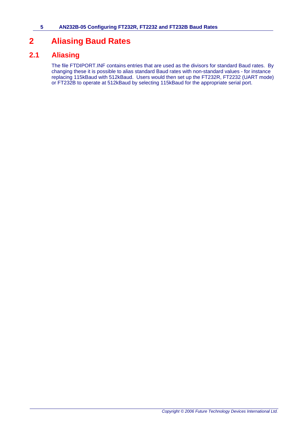### **2 Aliasing Baud Rates**

### **2.1 Aliasing**

The file FTDIPORT.INF contains entries that are used as the divisors for standard Baud rates. By changing these it is possible to alias standard Baud rates with non-standard values - for instance replacing 115kBaud with 512kBaud. Users would then set up the FT232R, FT2232 (UART mode) or FT232B to operate at 512kBaud by selecting 115kBaud for the appropriate serial port.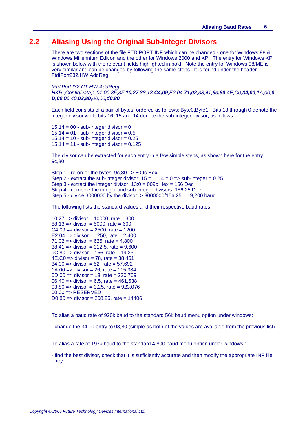#### **2.2 Aliasing Using the Original Sub-Integer Divisors**

There are two sections of the file FTDIPORT.INF which can be changed - one for Windows 98 & Windows Millennium Edition and the other for Windows 2000 and XP. The entry for Windows XP is shown below with the relevant fields highlighted in bold. Note the entry for Windows 98/ME is very similar and can be changed by following the same steps. It is found under the header FtdiPort232.HW.AddReg.

*[FtdiPort232.NT.HW.AddReg] HKR,,ConfigData,1,01,00,3F,3F,10,27,88,13,C4,09,E2,04,71,02,38,41,9c,80,4E,C0,34,00,1A,00,0 D,00,06,40,03,80,00,00,d0,80*

Each field consists of a pair of bytes, ordered as follows: Byte0,Byte1. Bits 13 through 0 denote the integer divisor while bits 16, 15 and 14 denote the sub-integer divisor, as follows

 $15,14 = 00$  - sub-integer divisor = 0  $15,14 = 01 - sub-integer divisor = 0.5$  $15,14 = 10 - sub-integer divisor = 0.25$  $15,14 = 11$  - sub-integer divisor = 0.125

The divisor can be extracted for each entry in a few simple steps, as shown here for the entry 9c,80

Step 1 - re-order the bytes: 9c,80 => 809c Hex Step 2 - extract the sub-integer divisor:  $15 = 1$ ,  $14 = 0 \Rightarrow$  sub-integer = 0.25 Step 3 - extract the integer divisor: 13:0 = 009c Hex = 156 Dec Step 4 - combine the integer and sub-integer divisors: 156.25 Dec Step 5 - divide 3000000 by the divisor=> 3000000/156.25 = 19,200 baud

The following lists the standard values and their respective baud rates.

10,27 =  $>$  divisor = 10000, rate = 300  $88,13$  => divisor = 5000, rate = 600  $C4,09 \Rightarrow$  divisor = 2500, rate = 1200 E2,04 =  $\frac{1}{2}$  divisor = 1250, rate = 2,400  $71,02 \Rightarrow$  divisor = 625, rate = 4,800  $38,41$  => divisor = 312.5, rate = 9,600 9C,80 => divisor = 156, rate = 19,230 4E,C0 => divisor = 78, rate = 38,461  $34,00 \Rightarrow$  divisor = 52, rate = 57,692 1A,00 =  $>$  divisor = 26, rate = 115,384 0D,00 => divisor = 13, rate = 230,769  $06,40 \Rightarrow$  divisor = 6.5, rate = 461,538 03,80 => divisor = 3.25, rate = 923,076  $00.00 \Rightarrow RESERVED$ D0,80 =  $>$  divisor = 208,25, rate = 14406

To alias a baud rate of 920k baud to the standard 56k baud menu option under windows:

- change the 34,00 entry to 03,80 (simple as both of the values are available from the previous list)

To alias a rate of 197k baud to the standard 4,800 baud menu option under windows :

- find the best divisor, check that it is sufficiently accurate and then modify the appropriate INF file entry.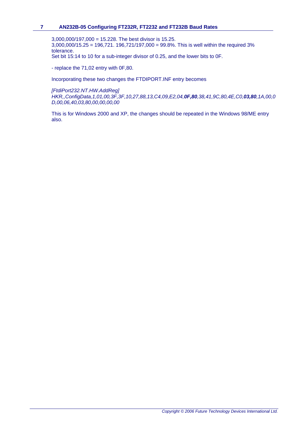#### **7 AN232B-05 Configuring FT232R, FT2232 and FT232B Baud Rates**

3,000,000/197,000 = 15.228. The best divisor is 15.25.  $3,000,000/15.25 = 196,721.196,721/197,000 = 99.8\%$ . This is well within the required 3% tolerance. Set bit 15:14 to 10 for a sub-integer divisor of 0.25, and the lower bits to 0F.

- replace the 71,02 entry with 0F,80.

Incorporating these two changes the FTDIPORT.INF entry becomes

*[FtdiPort232.NT.HW.AddReg]*

*HKR,,ConfigData,1,01,00,3F,3F,10,27,88,13,C4,09,E2,04,0F,80,38,41,9C,80,4E,C0,03,80,1A,00,0 D,00,06,40,03,80,00,00,00,00*

This is for Windows 2000 and XP, the changes should be repeated in the Windows 98/ME entry also.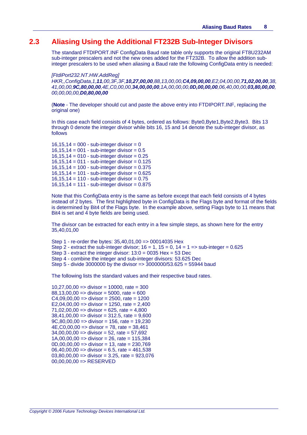#### **2.3 Aliasing Using the Additional FT232B Sub-Integer Divisors**

The standard FTDIPORT.INF ConfigData Baud rate table only supports the original FT8U232AM sub-integer prescalers and not the new ones added for the FT232B. To allow the addition subinteger prescalers to be used when aliasing a Baud rate the following ConfigData entry is needed:

*[FtdiPort232.NT.HW.AddReg]*

*HKR,,ConfigData,1,11,00,3F,3F,10,27,00,00,88,13,00,00,C4,09,00,00,E2,04,00,00,71,02,00,00,38, 41,00,00,9C,80,00,00,4E,C0,00,00,34,00,00,00,1A,00,00,00,0D,00,00,00,06,40,00,00,03,80,00,00, 00,00,00,00,D0,80,00,00*

(**Note** - The developer should cut and paste the above entry into FTDIPORT.INF, replacing the original one)

In this case each field consists of 4 bytes, ordered as follows: Byte0,Byte1,Byte2,Byte3. Bits 13 through 0 denote the integer divisor while bits 16, 15 and 14 denote the sub-integer divisor, as follows

 $16,15,14 = 000 - sub-interder divisor = 0$ 16,15,14 = 001 - sub-integer divisor =  $0.5$ 16,15,14 = 010 - sub-integer divisor =  $0.25$ 16,15,14 =  $011 - sub-interder divisor = 0.125$ 16,15,14 = 100 - sub-integer divisor = 0.375 16,15,14 = 101 - sub-integer divisor = 0.625  $16.15.14 = 110 - sub-interder divisor = 0.75$  $16,15,14 = 111 - sub-interder divisor = 0.875$ 

Note that this ConfigData entry is the same as before except that each field consists of 4 bytes instead of 2 bytes. The first highlighted byte in ConfigData is the Flags byte and format of the fields is determined by Bit4 of the Flags byte. In the example above, setting Flags byte to 11 means that Bit4 is set and 4 byte fields are being used.

The divisor can be extracted for each entry in a few simple steps, as shown here for the entry 35,40,01,00

Step 1 - re-order the bytes: 35,40,01,00 => 00014035 Hex Step 2 - extract the sub-integer divisor;  $16 = 1$ ,  $15 = 0$ ,  $14 = 1 \Rightarrow$  sub-integer = 0.625 Step  $3$  - extract the integer divisor:  $13:0 = 0035$  Hex = 53 Dec Step 4 - combine the integer and sub-integer divisors: 53.625 Dec Step 5 - divide 3000000 by the divisor => 3000000/53.625 = 55944 baud

The following lists the standard values and their respective baud rates.

10,27,00,00  $\Rightarrow$  divisor = 10000, rate = 300  $88.13,00,00 \Rightarrow$  divisor = 5000, rate = 600  $C4,09,00,00 \Rightarrow$  divisor = 2500, rate = 1200 E2,04,00,00 =  $>$  divisor = 1250, rate = 2,400  $71,02,00,00 \Rightarrow$  divisor = 625, rate = 4,800  $38,41,00,00 \Rightarrow$  divisor = 312.5, rate = 9,600  $9C,80,00,00 \Rightarrow$  divisor = 156, rate = 19,230 4E,C0,00,00 => divisor = 78, rate = 38,461  $34,00,00,00 \Rightarrow$  divisor = 52, rate = 57,692  $1A,00,00,00 \Rightarrow$  divisor = 26, rate = 115,384  $0D,00,00,00 \Rightarrow$  divisor = 13, rate = 230,769  $06,40,00,00 \Rightarrow$  divisor = 6.5, rate = 461,538  $03,80,00,00 \Rightarrow$  divisor = 3.25, rate = 923,076  $00,00,00,00 \Rightarrow$  RESERVED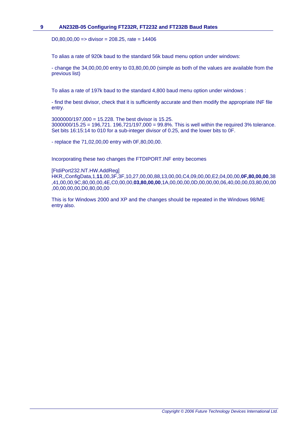#### **9 AN232B-05 Configuring FT232R, FT2232 and FT232B Baud Rates**

D0,80,00,00 =  $\frac{1}{2}$  divisor = 208.25, rate = 14406

To alias a rate of 920k baud to the standard 56k baud menu option under windows:

- change the 34,00,00,00 entry to 03,80,00,00 (simple as both of the values are available from the previous list)

To alias a rate of 197k baud to the standard 4,800 baud menu option under windows :

- find the best divisor, check that it is sufficiently accurate and then modify the appropriate INF file entry.

3000000/197,000 = 15.228. The best divisor is 15.25. 3000000/15.25 = 196,721. 196,721/197,000 = 99.8%. This is well within the required 3% tolerance. Set bits 16:15:14 to 010 for a sub-integer divisor of 0.25, and the lower bits to 0F.

- replace the 71,02,00,00 entry with 0F,80,00,00.

Incorporating these two changes the FTDIPORT.INF entry becomes

[FtdiPort232.NT.HW.AddReg]

HKR,,ConfigData,1,**11**,00,3F,3F,10,27,00,00,88,13,00,00,C4,09,00,00,E2,04,00,00,**0F,80,00,00**,38 ,41,00,00,9C,80,00,00,4E,C0,00,00,**03,80,00,00**,1A,00,00,00,0D,00,00,00,06,40,00,00,03,80,00,00 ,00,00,00,00,D0,80,00,00

This is for Windows 2000 and XP and the changes should be repeated in the Windows 98/ME entry also.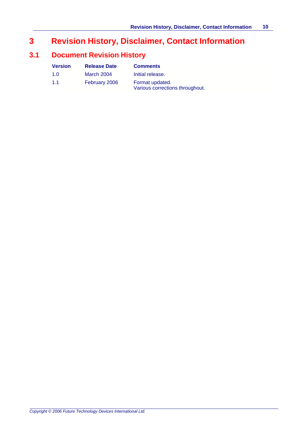### **3 Revision History, Disclaimer, Contact Information**

### **3.1 Document Revision History**

| <b>Version</b> | <b>Release Date</b> | <b>Comments</b>                                    |
|----------------|---------------------|----------------------------------------------------|
| 1.0            | March 2004          | Initial release.                                   |
| 1.1            | February 2006       | Format updated.<br>Various corrections throughout. |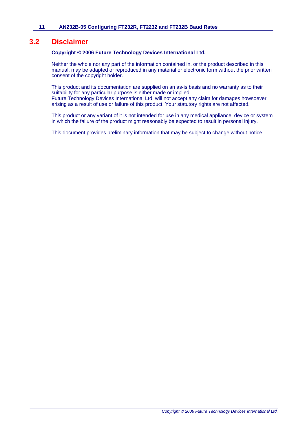#### **3.2 Disclaimer**

#### **Copyright © 2006 Future Technology Devices International Ltd.**

Neither the whole nor any part of the information contained in, or the product described in this manual, may be adapted or reproduced in any material or electronic form without the prior written consent of the copyright holder.

This product and its documentation are supplied on an as-is basis and no warranty as to their suitability for any particular purpose is either made or implied. Future Technology Devices International Ltd. will not accept any claim for damages howsoever arising as a result of use or failure of this product. Your statutory rights are not affected.

This product or any variant of it is not intended for use in any medical appliance, device or system in which the failure of the product might reasonably be expected to result in personal injury.

This document provides preliminary information that may be subject to change without notice.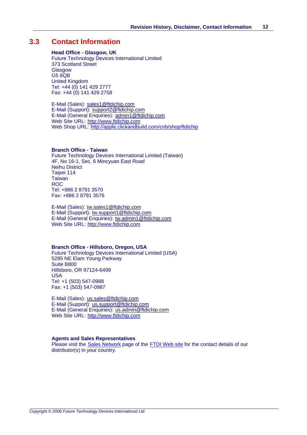#### **3.3 Contact Information**

#### **Head Office - Glasgow, UK**

Future Technology Devices International Limited 373 Scotland Street **Glasgow** G5 8QB United Kingdom Tel: +44 (0) 141 429 2777 Fax: +44 (0) 141 429 2758

E-Mail (Sales): sales1@ftdichip.com E-Mail (Support): support2@ftdichip.com E-Mail (General Enquiries): admin1@ftdichip.com Web Site URL: <http://www.ftdichip.com> Web Shop URL:<http://apple.clickandbuild.com/cnb/shop/ftdichip>

#### **Branch Office - Taiwan**

Future Technology Devices International Limited (Taiwan) 4F, No 16-1, Sec. 6 Mincyuan East Road Neihu District Taipei 114 **Taiwan** ROC Tel: +886 2 8791 3570 Fax: +886 2 8791 3576

E-Mail (Sales): tw.sales1@ftdichip.com E-Mail (Support): tw.support1@ftdichip.com E-Mail (General Enquiries): tw.admin1@ftdichip.com Web Site URL: <http://www.ftdichip.com>

#### **Branch Office - Hillsboro, Oregon, USA**

Future Technology Devices International Limited (USA) 5285 NE Elam Young Parkway Suite B800 Hillsboro, OR 97124-6499 USA Tel: +1 (503) 547-0988 Fax: +1 (503) 547-0987

E-Mail (Sales): us.sales@ftdichip.com E-Mail (Support): us.support@ftdichip.com E-Mail (General Enquiries): us.admin@ftdichip.com Web Site URL: <http://www.ftdichip.com>

#### **Agents and Sales Representatives**

Please visit the [Sales Network](http://www.ftdichip.com/FTSalesNetwork.htm) page of the [FTDI Web site](http://www.ftdichip.com) for the contact details of our distributor(s) in your country.